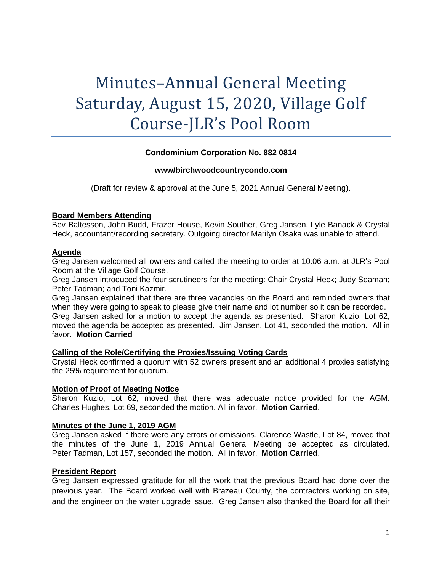# Minutes–Annual General Meeting Saturday, August 15, 2020, Village Golf Course-JLR's Pool Room

# **Condominium Corporation No. 882 0814**

#### **www/birchwoodcountrycondo.com**

(Draft for review & approval at the June 5, 2021 Annual General Meeting).

#### **Board Members Attending**

Bev Baltesson, John Budd, Frazer House, Kevin Souther, Greg Jansen, Lyle Banack & Crystal Heck, accountant/recording secretary. Outgoing director Marilyn Osaka was unable to attend.

## **Agenda**

Greg Jansen welcomed all owners and called the meeting to order at 10:06 a.m. at JLR's Pool Room at the Village Golf Course.

Greg Jansen introduced the four scrutineers for the meeting: Chair Crystal Heck; Judy Seaman; Peter Tadman; and Toni Kazmir.

Greg Jansen explained that there are three vacancies on the Board and reminded owners that when they were going to speak to please give their name and lot number so it can be recorded. Greg Jansen asked for a motion to accept the agenda as presented. Sharon Kuzio, Lot 62, moved the agenda be accepted as presented. Jim Jansen, Lot 41, seconded the motion. All in favor. **Motion Carried**

#### **Calling of the Role/Certifying the Proxies/Issuing Voting Cards**

Crystal Heck confirmed a quorum with 52 owners present and an additional 4 proxies satisfying the 25% requirement for quorum.

#### **Motion of Proof of Meeting Notice**

Sharon Kuzio, Lot 62, moved that there was adequate notice provided for the AGM. Charles Hughes, Lot 69, seconded the motion. All in favor. **Motion Carried**.

# **Minutes of the June 1, 2019 AGM**

Greg Jansen asked if there were any errors or omissions. Clarence Wastle, Lot 84, moved that the minutes of the June 1, 2019 Annual General Meeting be accepted as circulated. Peter Tadman, Lot 157, seconded the motion. All in favor. **Motion Carried**.

# **President Report**

Greg Jansen expressed gratitude for all the work that the previous Board had done over the previous year. The Board worked well with Brazeau County, the contractors working on site, and the engineer on the water upgrade issue. Greg Jansen also thanked the Board for all their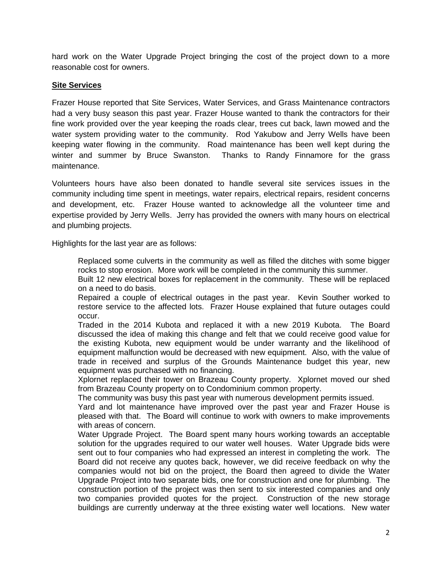hard work on the Water Upgrade Project bringing the cost of the project down to a more reasonable cost for owners.

# **Site Services**

Frazer House reported that Site Services, Water Services, and Grass Maintenance contractors had a very busy season this past year. Frazer House wanted to thank the contractors for their fine work provided over the year keeping the roads clear, trees cut back, lawn mowed and the water system providing water to the community. Rod Yakubow and Jerry Wells have been keeping water flowing in the community. Road maintenance has been well kept during the winter and summer by Bruce Swanston. Thanks to Randy Finnamore for the grass maintenance.

Volunteers hours have also been donated to handle several site services issues in the community including time spent in meetings, water repairs, electrical repairs, resident concerns and development, etc. Frazer House wanted to acknowledge all the volunteer time and expertise provided by Jerry Wells. Jerry has provided the owners with many hours on electrical and plumbing projects.

Highlights for the last year are as follows:

Replaced some culverts in the community as well as filled the ditches with some bigger rocks to stop erosion. More work will be completed in the community this summer.

Built 12 new electrical boxes for replacement in the community. These will be replaced on a need to do basis.

Repaired a couple of electrical outages in the past year. Kevin Souther worked to restore service to the affected lots. Frazer House explained that future outages could occur.

Traded in the 2014 Kubota and replaced it with a new 2019 Kubota. The Board discussed the idea of making this change and felt that we could receive good value for the existing Kubota, new equipment would be under warranty and the likelihood of equipment malfunction would be decreased with new equipment. Also, with the value of trade in received and surplus of the Grounds Maintenance budget this year, new equipment was purchased with no financing.

Xplornet replaced their tower on Brazeau County property. Xplornet moved our shed from Brazeau County property on to Condominium common property.

The community was busy this past year with numerous development permits issued.

Yard and lot maintenance have improved over the past year and Frazer House is pleased with that. The Board will continue to work with owners to make improvements with areas of concern.

Water Upgrade Project. The Board spent many hours working towards an acceptable solution for the upgrades required to our water well houses. Water Upgrade bids were sent out to four companies who had expressed an interest in completing the work. The Board did not receive any quotes back, however, we did receive feedback on why the companies would not bid on the project, the Board then agreed to divide the Water Upgrade Project into two separate bids, one for construction and one for plumbing. The construction portion of the project was then sent to six interested companies and only two companies provided quotes for the project. Construction of the new storage buildings are currently underway at the three existing water well locations. New water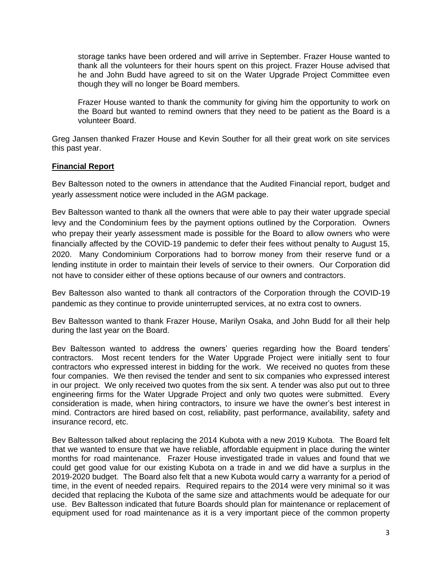storage tanks have been ordered and will arrive in September. Frazer House wanted to thank all the volunteers for their hours spent on this project. Frazer House advised that he and John Budd have agreed to sit on the Water Upgrade Project Committee even though they will no longer be Board members.

Frazer House wanted to thank the community for giving him the opportunity to work on the Board but wanted to remind owners that they need to be patient as the Board is a volunteer Board.

Greg Jansen thanked Frazer House and Kevin Souther for all their great work on site services this past year.

# **Financial Report**

Bev Baltesson noted to the owners in attendance that the Audited Financial report, budget and yearly assessment notice were included in the AGM package.

Bev Baltesson wanted to thank all the owners that were able to pay their water upgrade special levy and the Condominium fees by the payment options outlined by the Corporation. Owners who prepay their yearly assessment made is possible for the Board to allow owners who were financially affected by the COVID-19 pandemic to defer their fees without penalty to August 15, 2020. Many Condominium Corporations had to borrow money from their reserve fund or a lending institute in order to maintain their levels of service to their owners. Our Corporation did not have to consider either of these options because of our owners and contractors.

Bev Baltesson also wanted to thank all contractors of the Corporation through the COVID-19 pandemic as they continue to provide uninterrupted services, at no extra cost to owners.

Bev Baltesson wanted to thank Frazer House, Marilyn Osaka, and John Budd for all their help during the last year on the Board.

Bev Baltesson wanted to address the owners' queries regarding how the Board tenders' contractors. Most recent tenders for the Water Upgrade Project were initially sent to four contractors who expressed interest in bidding for the work. We received no quotes from these four companies. We then revised the tender and sent to six companies who expressed interest in our project. We only received two quotes from the six sent. A tender was also put out to three engineering firms for the Water Upgrade Project and only two quotes were submitted. Every consideration is made, when hiring contractors, to insure we have the owner's best interest in mind. Contractors are hired based on cost, reliability, past performance, availability, safety and insurance record, etc.

Bev Baltesson talked about replacing the 2014 Kubota with a new 2019 Kubota. The Board felt that we wanted to ensure that we have reliable, affordable equipment in place during the winter months for road maintenance. Frazer House investigated trade in values and found that we could get good value for our existing Kubota on a trade in and we did have a surplus in the 2019-2020 budget. The Board also felt that a new Kubota would carry a warranty for a period of time, in the event of needed repairs. Required repairs to the 2014 were very minimal so it was decided that replacing the Kubota of the same size and attachments would be adequate for our use. Bev Baltesson indicated that future Boards should plan for maintenance or replacement of equipment used for road maintenance as it is a very important piece of the common property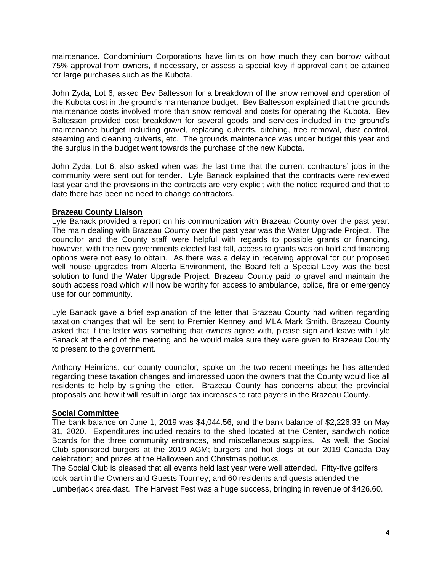maintenance. Condominium Corporations have limits on how much they can borrow without 75% approval from owners, if necessary, or assess a special levy if approval can't be attained for large purchases such as the Kubota.

John Zyda, Lot 6, asked Bev Baltesson for a breakdown of the snow removal and operation of the Kubota cost in the ground's maintenance budget. Bev Baltesson explained that the grounds maintenance costs involved more than snow removal and costs for operating the Kubota. Bev Baltesson provided cost breakdown for several goods and services included in the ground's maintenance budget including gravel, replacing culverts, ditching, tree removal, dust control, steaming and cleaning culverts, etc. The grounds maintenance was under budget this year and the surplus in the budget went towards the purchase of the new Kubota.

John Zyda, Lot 6, also asked when was the last time that the current contractors' jobs in the community were sent out for tender. Lyle Banack explained that the contracts were reviewed last year and the provisions in the contracts are very explicit with the notice required and that to date there has been no need to change contractors.

# **Brazeau County Liaison**

Lyle Banack provided a report on his communication with Brazeau County over the past year. The main dealing with Brazeau County over the past year was the Water Upgrade Project. The councilor and the County staff were helpful with regards to possible grants or financing, however, with the new governments elected last fall, access to grants was on hold and financing options were not easy to obtain. As there was a delay in receiving approval for our proposed well house upgrades from Alberta Environment, the Board felt a Special Levy was the best solution to fund the Water Upgrade Project. Brazeau County paid to gravel and maintain the south access road which will now be worthy for access to ambulance, police, fire or emergency use for our community.

Lyle Banack gave a brief explanation of the letter that Brazeau County had written regarding taxation changes that will be sent to Premier Kenney and MLA Mark Smith. Brazeau County asked that if the letter was something that owners agree with, please sign and leave with Lyle Banack at the end of the meeting and he would make sure they were given to Brazeau County to present to the government.

Anthony Heinrichs, our county councilor, spoke on the two recent meetings he has attended regarding these taxation changes and impressed upon the owners that the County would like all residents to help by signing the letter. Brazeau County has concerns about the provincial proposals and how it will result in large tax increases to rate payers in the Brazeau County.

# **Social Committee**

The bank balance on June 1, 2019 was \$4,044.56, and the bank balance of \$2,226.33 on May 31, 2020. Expenditures included repairs to the shed located at the Center, sandwich notice Boards for the three community entrances, and miscellaneous supplies. As well, the Social Club sponsored burgers at the 2019 AGM; burgers and hot dogs at our 2019 Canada Day celebration; and prizes at the Halloween and Christmas potlucks.

The Social Club is pleased that all events held last year were well attended. Fifty-five golfers took part in the Owners and Guests Tourney; and 60 residents and guests attended the Lumberjack breakfast. The Harvest Fest was a huge success, bringing in revenue of \$426.60.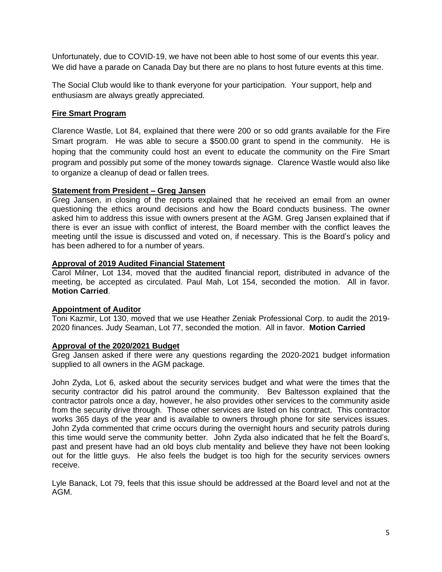Unfortunately, due to COVID-19, we have not been able to host some of our events this year. We did have a parade on Canada Day but there are no plans to host future events at this time.

The Social Club would like to thank everyone for your participation. Your support, help and enthusiasm are always greatly appreciated.

# **Fire Smart Program**

Clarence Wastle, Lot 84, explained that there were 200 or so odd grants available for the Fire Smart program. He was able to secure a \$500.00 grant to spend in the community. He is hoping that the community could host an event to educate the community on the Fire Smart program and possibly put some of the money towards signage. Clarence Wastle would also like to organize a cleanup of dead or fallen trees.

# **Statement from President – Greg Jansen**

Greg Jansen, in closing of the reports explained that he received an email from an owner questioning the ethics around decisions and how the Board conducts business. The owner asked him to address this issue with owners present at the AGM. Greg Jansen explained that if there is ever an issue with conflict of interest, the Board member with the conflict leaves the meeting until the issue is discussed and voted on, if necessary. This is the Board's policy and has been adhered to for a number of years.

## **Approval of 2019 Audited Financial Statement**

Carol Milner, Lot 134, moved that the audited financial report, distributed in advance of the meeting, be accepted as circulated. Paul Mah, Lot 154, seconded the motion. All in favor. **Motion Carried**.

#### **Appointment of Auditor**

Toni Kazmir, Lot 130, moved that we use Heather Zeniak Professional Corp. to audit the 2019- 2020 finances. Judy Seaman, Lot 77, seconded the motion. All in favor. **Motion Carried**

## **Approval of the 2020/2021 Budget**

Greg Jansen asked if there were any questions regarding the 2020-2021 budget information supplied to all owners in the AGM package.

John Zyda, Lot 6, asked about the security services budget and what were the times that the security contractor did his patrol around the community. Bev Baltesson explained that the contractor patrols once a day, however, he also provides other services to the community aside from the security drive through. Those other services are listed on his contract. This contractor works 365 days of the year and is available to owners through phone for site services issues. John Zyda commented that crime occurs during the overnight hours and security patrols during this time would serve the community better. John Zyda also indicated that he felt the Board's, past and present have had an old boys club mentality and believe they have not been looking out for the little guys. He also feels the budget is too high for the security services owners receive.

Lyle Banack, Lot 79, feels that this issue should be addressed at the Board level and not at the AGM.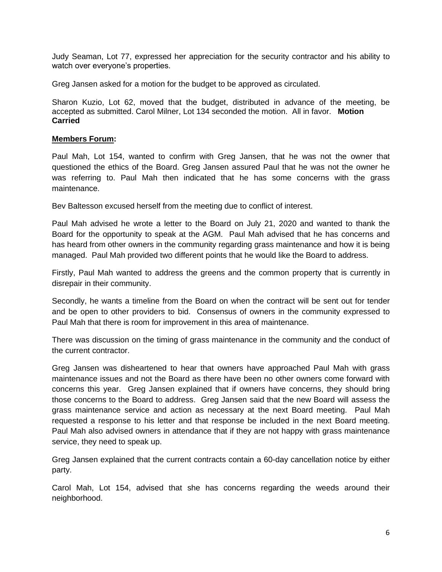Judy Seaman, Lot 77, expressed her appreciation for the security contractor and his ability to watch over everyone's properties.

Greg Jansen asked for a motion for the budget to be approved as circulated.

Sharon Kuzio, Lot 62, moved that the budget, distributed in advance of the meeting, be accepted as submitted. Carol Milner, Lot 134 seconded the motion. All in favor. **Motion Carried**

## **Members Forum:**

Paul Mah, Lot 154, wanted to confirm with Greg Jansen, that he was not the owner that questioned the ethics of the Board. Greg Jansen assured Paul that he was not the owner he was referring to. Paul Mah then indicated that he has some concerns with the grass maintenance.

Bev Baltesson excused herself from the meeting due to conflict of interest.

Paul Mah advised he wrote a letter to the Board on July 21, 2020 and wanted to thank the Board for the opportunity to speak at the AGM. Paul Mah advised that he has concerns and has heard from other owners in the community regarding grass maintenance and how it is being managed. Paul Mah provided two different points that he would like the Board to address.

Firstly, Paul Mah wanted to address the greens and the common property that is currently in disrepair in their community.

Secondly, he wants a timeline from the Board on when the contract will be sent out for tender and be open to other providers to bid. Consensus of owners in the community expressed to Paul Mah that there is room for improvement in this area of maintenance.

There was discussion on the timing of grass maintenance in the community and the conduct of the current contractor.

Greg Jansen was disheartened to hear that owners have approached Paul Mah with grass maintenance issues and not the Board as there have been no other owners come forward with concerns this year. Greg Jansen explained that if owners have concerns, they should bring those concerns to the Board to address. Greg Jansen said that the new Board will assess the grass maintenance service and action as necessary at the next Board meeting. Paul Mah requested a response to his letter and that response be included in the next Board meeting. Paul Mah also advised owners in attendance that if they are not happy with grass maintenance service, they need to speak up.

Greg Jansen explained that the current contracts contain a 60-day cancellation notice by either party.

Carol Mah, Lot 154, advised that she has concerns regarding the weeds around their neighborhood.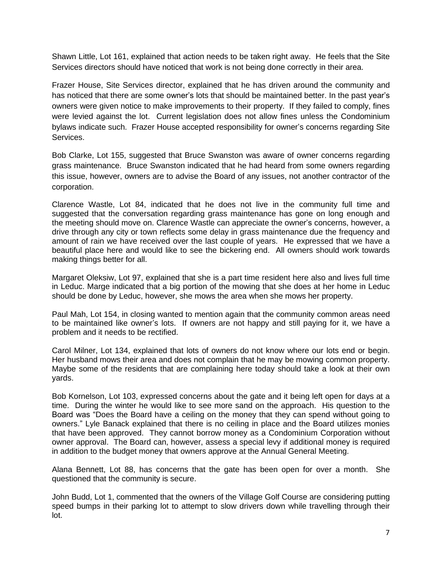Shawn Little, Lot 161, explained that action needs to be taken right away. He feels that the Site Services directors should have noticed that work is not being done correctly in their area.

Frazer House, Site Services director, explained that he has driven around the community and has noticed that there are some owner's lots that should be maintained better. In the past year's owners were given notice to make improvements to their property. If they failed to comply, fines were levied against the lot. Current legislation does not allow fines unless the Condominium bylaws indicate such. Frazer House accepted responsibility for owner's concerns regarding Site Services.

Bob Clarke, Lot 155, suggested that Bruce Swanston was aware of owner concerns regarding grass maintenance. Bruce Swanston indicated that he had heard from some owners regarding this issue, however, owners are to advise the Board of any issues, not another contractor of the corporation.

Clarence Wastle, Lot 84, indicated that he does not live in the community full time and suggested that the conversation regarding grass maintenance has gone on long enough and the meeting should move on. Clarence Wastle can appreciate the owner's concerns, however, a drive through any city or town reflects some delay in grass maintenance due the frequency and amount of rain we have received over the last couple of years. He expressed that we have a beautiful place here and would like to see the bickering end. All owners should work towards making things better for all.

Margaret Oleksiw, Lot 97, explained that she is a part time resident here also and lives full time in Leduc. Marge indicated that a big portion of the mowing that she does at her home in Leduc should be done by Leduc, however, she mows the area when she mows her property.

Paul Mah, Lot 154, in closing wanted to mention again that the community common areas need to be maintained like owner's lots. If owners are not happy and still paying for it, we have a problem and it needs to be rectified.

Carol Milner, Lot 134, explained that lots of owners do not know where our lots end or begin. Her husband mows their area and does not complain that he may be mowing common property. Maybe some of the residents that are complaining here today should take a look at their own yards.

Bob Kornelson, Lot 103, expressed concerns about the gate and it being left open for days at a time. During the winter he would like to see more sand on the approach. His question to the Board was "Does the Board have a ceiling on the money that they can spend without going to owners." Lyle Banack explained that there is no ceiling in place and the Board utilizes monies that have been approved. They cannot borrow money as a Condominium Corporation without owner approval. The Board can, however, assess a special levy if additional money is required in addition to the budget money that owners approve at the Annual General Meeting.

Alana Bennett, Lot 88, has concerns that the gate has been open for over a month. She questioned that the community is secure.

John Budd, Lot 1, commented that the owners of the Village Golf Course are considering putting speed bumps in their parking lot to attempt to slow drivers down while travelling through their lot.